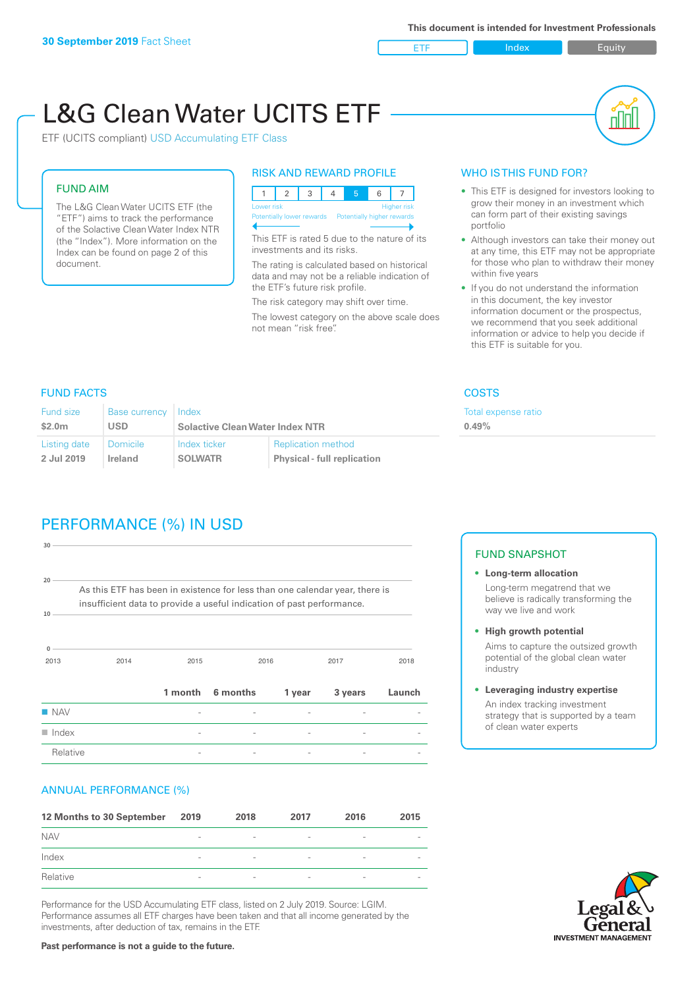ETF Index Builty

# L&G Clean Water UCITS ETF

ETF (UCITS compliant) USD Accumulating ETF Class

### FUND AIM

The L&G Clean Water UCITS ETF (the "ETF") aims to track the performance of the Solactive Clean Water Index NTR (the "Index"). More information on the Index can be found on page 2 of this document.

#### RISK AND REWARD PROFILE

|  | Lower risk<br><b>Higher risk</b> |  |  |  |                                                      |  |  |  |  |
|--|----------------------------------|--|--|--|------------------------------------------------------|--|--|--|--|
|  |                                  |  |  |  | Potentially lower rewards Potentially higher rewards |  |  |  |  |
|  |                                  |  |  |  |                                                      |  |  |  |  |

This ETF is rated 5 due to the nature of its investments and its risks.

The rating is calculated based on historical data and may not be a reliable indication of the ETF's future risk profile.

The risk category may shift over time. The lowest category on the above scale does not mean "risk free".

#### WHO IS THIS FUND FOR?

- This ETF is designed for investors looking to grow their money in an investment which can form part of their existing savings portfolio
- Although investors can take their money out at any time, this ETF may not be appropriate for those who plan to withdraw their money within five years
- If you do not understand the information in this document, the key investor information document or the prospectus, we recommend that you seek additional information or advice to help you decide if this ETF is suitable for you.

xpense ratio

#### FUND FACTS COSTS

| <b>Fund size</b><br>Base currency Index<br>USD<br>\$2.0m |          | <b>Solactive Clean Water Index NTR</b> |                                    | Total e:<br>0.49% |
|----------------------------------------------------------|----------|----------------------------------------|------------------------------------|-------------------|
|                                                          |          |                                        |                                    |                   |
| Listing date                                             | Domicile | Index ticker                           | <b>Replication method</b>          |                   |
| 2 Jul 2019                                               | Ireland  | <b>SOLWATR</b>                         | <b>Physical - full replication</b> |                   |

# PERFORMANCE (%) IN USD

| $30 -$                    |                                                                                                                                                      |      |                  |        |         |        |
|---------------------------|------------------------------------------------------------------------------------------------------------------------------------------------------|------|------------------|--------|---------|--------|
| 20 <sup>1</sup><br>$10 -$ | As this ETF has been in existence for less than one calendar year, there is<br>insufficient data to provide a useful indication of past performance. |      |                  |        |         |        |
| 0<br>2013                 | 2014                                                                                                                                                 | 2015 |                  | 2016   | 2017    | 2018   |
|                           |                                                                                                                                                      |      | 1 month 6 months | 1 year | 3 years | Launch |
| $\blacksquare$ NAV        |                                                                                                                                                      |      |                  |        |         |        |
| $\blacksquare$ Index      |                                                                                                                                                      |      |                  |        |         |        |
| Relative                  |                                                                                                                                                      |      |                  |        |         |        |

#### ANNUAL PERFORMANCE (%)

| 12 Months to 30 September | 2019                     | 2018                     | 2017                     | 2016                     | 2015                     |
|---------------------------|--------------------------|--------------------------|--------------------------|--------------------------|--------------------------|
| <b>NAV</b>                | $\overline{\phantom{0}}$ | $\overline{\phantom{a}}$ | $\overline{\phantom{a}}$ | $\overline{\phantom{a}}$ |                          |
| Index                     | $\qquad \qquad$          | $\overline{\phantom{a}}$ | $\overline{\phantom{a}}$ | $\overline{\phantom{a}}$ | $\overline{\phantom{a}}$ |
| Relative                  | $\overline{\phantom{a}}$ | $\sim$                   | $\overline{\phantom{a}}$ | $\sim$                   | $\overline{\phantom{a}}$ |

Performance for the USD Accumulating ETF class, listed on 2 July 2019. Source: LGIM. Performance assumes all ETF charges have been taken and that all income generated by the investments, after deduction of tax, remains in the ETF.

#### FUND SNAPSHOT

- **• Long-term allocation** Long-term megatrend that we believe is radically transforming the way we live and work
- **• High growth potential**

Aims to capture the outsized growth potential of the global clean water industry

**• Leveraging industry expertise**

An index tracking investment strategy that is supported by a team of clean water experts



#### **Past performance is not a guide to the future.**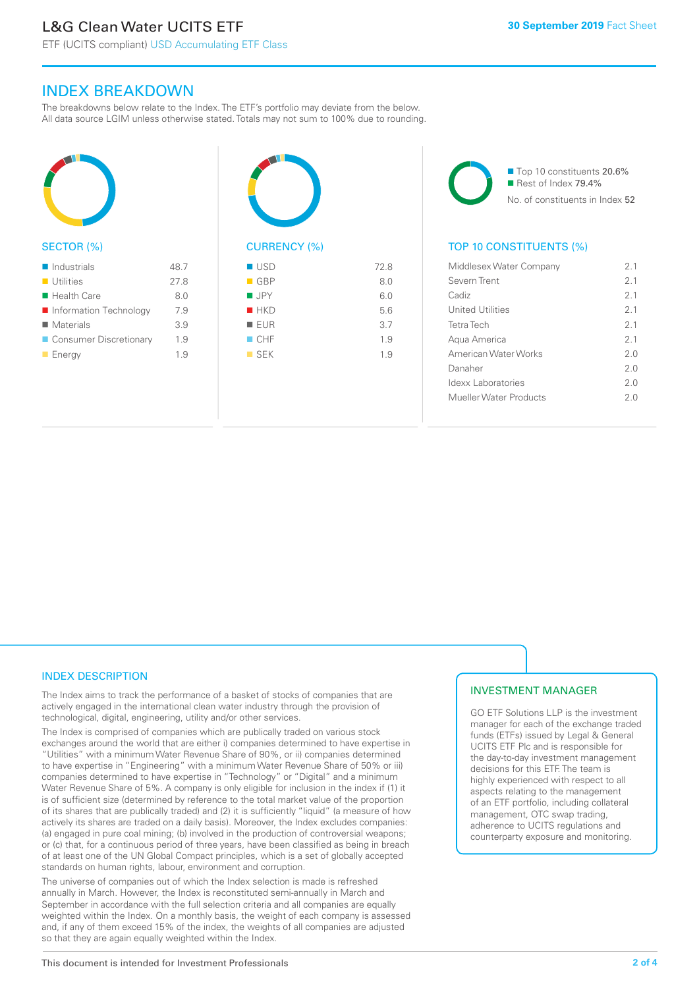ETF (UCITS compliant) USD Accumulating ETF Class

#### INDEX BREAKDOWN

The breakdowns below relate to the Index. The ETF's portfolio may deviate from the below. All data source LGIM unless otherwise stated. Totals may not sum to 100% due to rounding.



#### SECTOR (%)

| $\blacksquare$ Industrials | 48.7 |
|----------------------------|------|
| $\blacksquare$ Utilities   | 27.8 |
| $\blacksquare$ Health Care | 8.0  |
| Information Technology     | 7.9  |
| $\blacksquare$ Materials   | 3.9  |
| ■ Consumer Discretionary   | 1.9  |
| $\blacksquare$ Energy      | 19   |



## $\blacksquare$  USD 72.8

|                    | $\cdots$ |
|--------------------|----------|
| $\blacksquare$ GBP | 8.0      |
| <b>JPY</b>         | 6.0      |
| HKD                | 5.6      |
| EUR                | 3.7      |
| CHF                | 1.9      |
| $\blacksquare$ SEK | 1.9      |
|                    |          |

■ Top 10 constituents 20.6% Rest of Index 79.4% No. of constituents in Index 52

#### TOP 10 CONSTITUENTS (%)

| Middlesex Water Company | 21  |
|-------------------------|-----|
| Severn Trent            | 21  |
| Cadiz                   | 2.1 |
| <b>United Utilities</b> | 21  |
| <b>Tetra Tech</b>       | 2.1 |
| Agua America            | 21  |
| American Water Works    | 2 O |
| Danaher                 | 2 O |
| Idexx Laboratories      | 2 O |
| Mueller Water Products  | 2 O |
|                         |     |

#### INDEX DESCRIPTION

The Index aims to track the performance of a basket of stocks of companies that are actively engaged in the international clean water industry through the provision of technological, digital, engineering, utility and/or other services.

The Index is comprised of companies which are publically traded on various stock exchanges around the world that are either i) companies determined to have expertise in "Utilities" with a minimum Water Revenue Share of 90%, or ii) companies determined to have expertise in "Engineering" with a minimum Water Revenue Share of 50% or iii) companies determined to have expertise in "Technology" or "Digital" and a minimum Water Revenue Share of 5%. A company is only eligible for inclusion in the index if (1) it is of sufficient size (determined by reference to the total market value of the proportion of its shares that are publically traded) and (2) it is sufficiently "liquid" (a measure of how actively its shares are traded on a daily basis). Moreover, the Index excludes companies: (a) engaged in pure coal mining; (b) involved in the production of controversial weapons; or (c) that, for a continuous period of three years, have been classified as being in breach of at least one of the UN Global Compact principles, which is a set of globally accepted standards on human rights, labour, environment and corruption.

The universe of companies out of which the Index selection is made is refreshed annually in March. However, the Index is reconstituted semi-annually in March and September in accordance with the full selection criteria and all companies are equally weighted within the Index. On a monthly basis, the weight of each company is assessed and, if any of them exceed 15% of the index, the weights of all companies are adjusted so that they are again equally weighted within the Index.

#### INVESTMENT MANAGER

GO ETF Solutions LLP is the investment manager for each of the exchange traded funds (ETFs) issued by Legal & General UCITS ETF Plc and is responsible for the day-to-day investment management decisions for this ETF. The team is highly experienced with respect to all aspects relating to the management of an ETF portfolio, including collateral management, OTC swap trading, adherence to UCITS regulations and counterparty exposure and monitoring.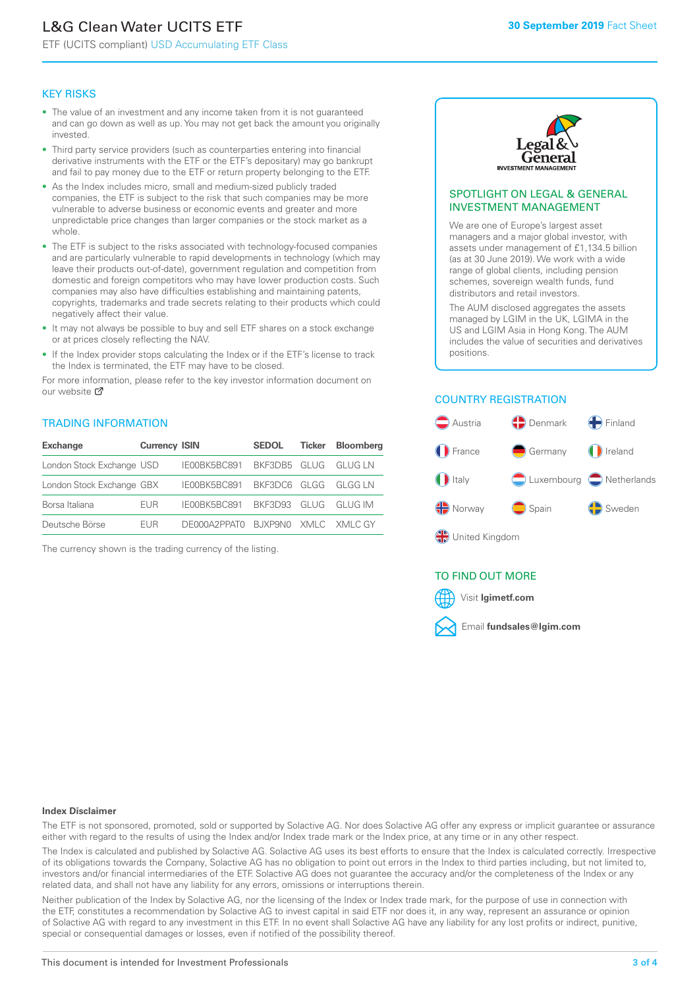# L&G Clean Water UCITS ETF

ETF (UCITS compliant) USD Accumulating ETF Class

#### KEY RISKS

- The value of an investment and any income taken from it is not guaranteed and can go down as well as up. You may not get back the amount you originally invested.
- Third party service providers (such as counterparties entering into financial derivative instruments with the ETF or the ETF's depositary) may go bankrupt and fail to pay money due to the ETF or return property belonging to the ETF.
- As the Index includes micro, small and medium-sized publicly traded companies, the ETF is subject to the risk that such companies may be more vulnerable to adverse business or economic events and greater and more unpredictable price changes than larger companies or the stock market as a whole.
- The ETF is subject to the risks associated with technology-focused companies and are particularly vulnerable to rapid developments in technology (which may leave their products out-of-date), government regulation and competition from domestic and foreign competitors who may have lower production costs. Such companies may also have difficulties establishing and maintaining patents, copyrights, trademarks and trade secrets relating to their products which could negatively affect their value.
- It may not always be possible to buy and sell ETF shares on a stock exchange or at prices closely reflecting the NAV.
- If the Index provider stops calculating the Index or if the ETF's license to track the Index is terminated, the ETF may have to be closed.

For more information, please refer to the key investor information document on our website Ø

#### TRADING INFORMATION

| <b>Exchange</b>           | <b>Currency ISIN</b> |                                   | <b>SEDOL</b> | Ticker | <b>Bloomberg</b> |
|---------------------------|----------------------|-----------------------------------|--------------|--------|------------------|
| London Stock Exchange USD |                      | IE00BK5BC891 BKF3DB5 GLUG GLUG LN |              |        |                  |
| London Stock Exchange GBX |                      | IE00BK5BC891 BKF3DC6 GLGG GLGG LN |              |        |                  |
| Borsa Italiana            | <b>FUR</b>           | IE00BK5BC891 BKF3D93 GLUG GLUG IM |              |        |                  |
| Deutsche Börse            | <b>FUR</b>           | DE000A2PPATO BJXP9NO XMLC XMLCGY  |              |        |                  |

The currency shown is the trading currency of the listing.



#### SPOTLIGHT ON LEGAL & GENERAL INVESTMENT MANAGEMENT

We are one of Europe's largest asset managers and a major global investor, with assets under management of £1,134.5 billion (as at 30 June 2019). We work with a wide range of global clients, including pension schemes, sovereign wealth funds, fund distributors and retail investors.

The AUM disclosed aggregates the assets managed by LGIM in the UK, LGIMA in the US and LGIM Asia in Hong Kong. The AUM includes the value of securities and derivatives positions.

#### COUNTRY REGISTRATION



#### TO FIND OUT MORE



#### **Index Disclaimer**

The ETF is not sponsored, promoted, sold or supported by Solactive AG. Nor does Solactive AG offer any express or implicit guarantee or assurance either with regard to the results of using the Index and/or Index trade mark or the Index price, at any time or in any other respect.

The Index is calculated and published by Solactive AG. Solactive AG uses its best efforts to ensure that the Index is calculated correctly. Irrespective of its obligations towards the Company, Solactive AG has no obligation to point out errors in the Index to third parties including, but not limited to, investors and/or financial intermediaries of the ETF. Solactive AG does not guarantee the accuracy and/or the completeness of the Index or any related data, and shall not have any liability for any errors, omissions or interruptions therein.

Neither publication of the Index by Solactive AG, nor the licensing of the Index or Index trade mark, for the purpose of use in connection with the ETF, constitutes a recommendation by Solactive AG to invest capital in said ETF nor does it, in any way, represent an assurance or opinion of Solactive AG with regard to any investment in this ETF. In no event shall Solactive AG have any liability for any lost profits or indirect, punitive, special or consequential damages or losses, even if notified of the possibility thereof.